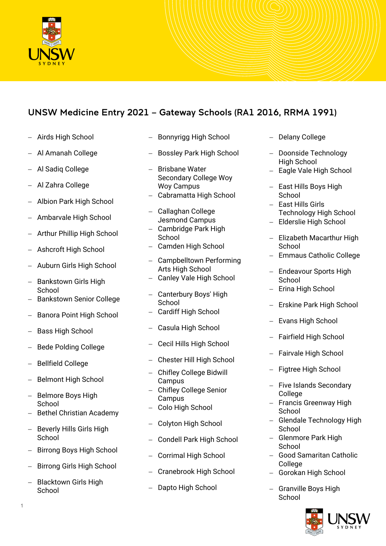

## UNSW Medicine Entry 2021 – Gateway Schools (RA1 2016, RRMA 1991)

- − Airds High School
- − Al Amanah College
- − Al Sadiq College
- − Al Zahra College
- − Albion Park High School
- − Ambarvale High School
- − Arthur Phillip High School
- − Ashcroft High School
- − Auburn Girls High School
- − Bankstown Girls High School
- Bankstown Senior College
- Banora Point High School
- Bass High School
- − Bede Polding College
- − Bellfield College
- − Belmont High School
- − Belmore Boys High School
- − Bethel Christian Academy
- Beverly Hills Girls High **School**
- − Birrong Boys High School
- − Birrong Girls High School
- − Blacktown Girls High School
- − Bonnyrigg High School
- Bossley Park High School
- − Brisbane Water Secondary College Woy Woy Campus
- − Cabramatta High School
- − Callaghan College Jesmond Campus
- − Cambridge Park High School
- − Camden High School
- − Campbelltown Performing Arts High School
- − Canley Vale High School
- − Canterbury Boys' High School
- − Cardiff High School
- − Casula High School
- − Cecil Hills High School
- − Chester Hill High School
- − Chifley College Bidwill Campus
- − Chifley College Senior Campus
- − Colo High School
- − Colyton High School
- − Condell Park High School
- − Corrimal High School
- − Cranebrook High School
- Dapto High School
- − Delany College
- − Doonside Technology High School
- − Eagle Vale High School
- − East Hills Boys High **School**
- − East Hills Girls Technology High School
- − Elderslie High School
- − Elizabeth Macarthur High School
- − Emmaus Catholic College
- − Endeavour Sports High School
- − Erina High School
- − Erskine Park High School
- − Evans High School
- − Fairfield High School
- − Fairvale High School
- − Figtree High School
- − Five Islands Secondary College
- − Francis Greenway High School
- − Glendale Technology High School
- − Glenmore Park High School
- − Good Samaritan Catholic **College**
- − Gorokan High School
- − Granville Boys High School

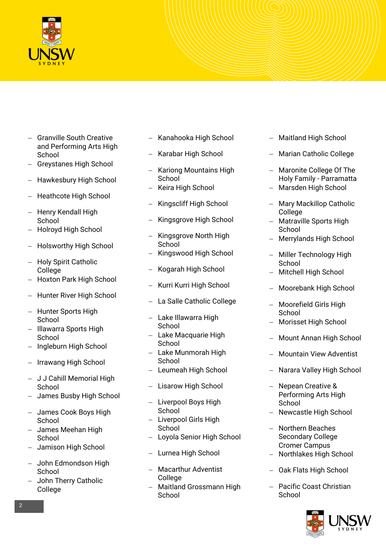

- − Granville South Creative and Performing Arts High School
- − Greystanes High School
- − Hawkesbury High School
- − Heathcote High School
- − Henry Kendall High **School**
- − Holroyd High School
- − Holsworthy High School
- − Holy Spirit Catholic **College**
- − Hoxton Park High School
- − Hunter River High School
- − Hunter Sports High School
- − Illawarra Sports High School
- − Ingleburn High School
- − Irrawang High School
- − J J Cahill Memorial High **School**
- − James Busby High School
- − James Cook Boys High School
- − James Meehan High **School**
- − Jamison High School
- − John Edmondson High School
- − John Therry Catholic College
- − Kanahooka High School
- − Karabar High School
- − Kariong Mountains High **School**
- − Keira High School
- − Kingscliff High School
- − Kingsgrove High School
- − Kingsgrove North High **School**
- − Kingswood High School
- − Kogarah High School
- − Kurri Kurri High School
- − La Salle Catholic College
- − Lake Illawarra High **School**
- − Lake Macquarie High **School**
- − Lake Munmorah High **School**
- − Leumeah High School
- − Lisarow High School
- − Liverpool Boys High **School**
- − Liverpool Girls High School
- − Loyola Senior High School
- − Lurnea High School
- − Macarthur Adventist College
- − Maitland Grossmann High **School**
- − Maitland High School
- − Marian Catholic College
- − Maronite College Of The Holy Family - Parramatta
- − Marsden High School
- − Mary Mackillop Catholic College
- − Matraville Sports High School
- − Merrylands High School
- − Miller Technology High School
- − Mitchell High School
- − Moorebank High School
- − Moorefield Girls High School
- − Morisset High School
- − Mount Annan High School
- − Mountain View Adventist
- − Narara Valley High School
- − Nepean Creative & Performing Arts High School
- − Newcastle High School
- − Northern Beaches Secondary College Cromer Campus
- − Northlakes High School
- − Oak Flats High School
- − Pacific Coast Christian **School**